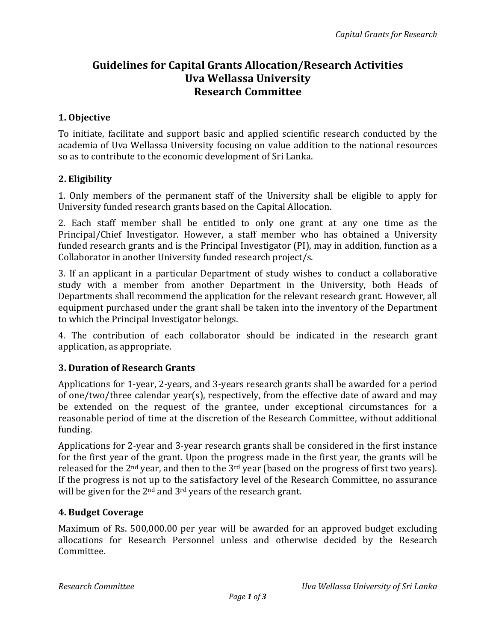# Guidelines for Capital Grants Allocation/Research Activities Uva Wellassa University Research Committee

## 1. Objective

To initiate, facilitate and support basic and applied scientific research conducted by the academia of Uva Wellassa University focusing on value addition to the national resources so as to contribute to the economic development of Sri Lanka.

## 2. Eligibility

1. Only members of the permanent staff of the University shall be eligible to apply for University funded research grants based on the Capital Allocation.

2. Each staff member shall be entitled to only one grant at any one time as the Principal/Chief Investigator. However, a staff member who has obtained a University funded research grants and is the Principal Investigator (PI), may in addition, function as a Collaborator in another University funded research project/s.

3. If an applicant in a particular Department of study wishes to conduct a collaborative study with a member from another Department in the University, both Heads of Departments shall recommend the application for the relevant research grant. However, all equipment purchased under the grant shall be taken into the inventory of the Department to which the Principal Investigator belongs.

4. The contribution of each collaborator should be indicated in the research grant application, as appropriate.

# 3. Duration of Research Grants

Applications for 1-year, 2-years, and 3-years research grants shall be awarded for a period of one/two/three calendar year(s), respectively, from the effective date of award and may be extended on the request of the grantee, under exceptional circumstances for a reasonable period of time at the discretion of the Research Committee, without additional funding.

Applications for 2-year and 3-year research grants shall be considered in the first instance for the first year of the grant. Upon the progress made in the first year, the grants will be released for the  $2<sup>nd</sup>$  year, and then to the  $3<sup>rd</sup>$  year (based on the progress of first two years). If the progress is not up to the satisfactory level of the Research Committee, no assurance will be given for the 2<sup>nd</sup> and 3<sup>rd</sup> years of the research grant.

# 4. Budget Coverage

Maximum of Rs. 500,000.00 per year will be awarded for an approved budget excluding allocations for Research Personnel unless and otherwise decided by the Research Committee.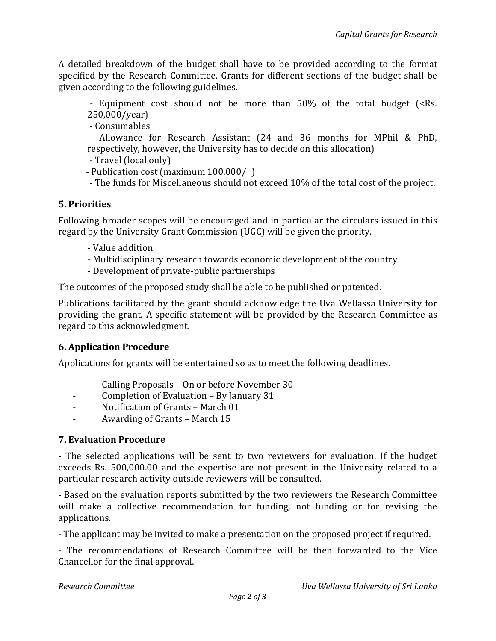A detailed breakdown of the budget shall have to be provided according to the format specified by the Research Committee. Grants for different sections of the budget shall be given according to the following guidelines.

- Equipment cost should not be more than 50% of the total budget (<Rs. 250,000/year)

- Consumables

 - Allowance for Research Assistant (24 and 36 months for MPhil & PhD, respectively, however, the University has to decide on this allocation)

- Travel (local only)
- Publication cost (maximum 100,000/=)
- The funds for Miscellaneous should not exceed 10% of the total cost of the project.

## 5. Priorities

Following broader scopes will be encouraged and in particular the circulars issued in this regard by the University Grant Commission (UGC) will be given the priority.

- Value addition
- Multidisciplinary research towards economic development of the country
- Development of private-public partnerships

The outcomes of the proposed study shall be able to be published or patented.

Publications facilitated by the grant should acknowledge the Uva Wellassa University for providing the grant. A specific statement will be provided by the Research Committee as regard to this acknowledgment.

# 6. Application Procedure

Applications for grants will be entertained so as to meet the following deadlines.

- Calling Proposals On or before November 30
- Completion of Evaluation By January 31
- Notification of Grants March 01
- Awarding of Grants March 15

#### 7. Evaluation Procedure

- The selected applications will be sent to two reviewers for evaluation. If the budget exceeds Rs. 500,000.00 and the expertise are not present in the University related to a particular research activity outside reviewers will be consulted.

- Based on the evaluation reports submitted by the two reviewers the Research Committee will make a collective recommendation for funding, not funding or for revising the applications.

- The applicant may be invited to make a presentation on the proposed project if required.

- The recommendations of Research Committee will be then forwarded to the Vice Chancellor for the final approval.